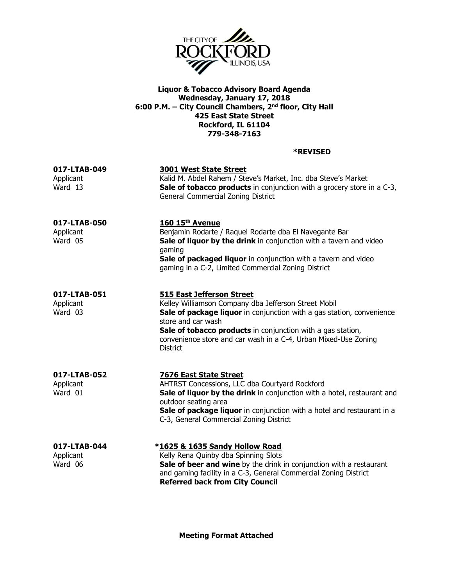

## Liquor & Tobacco Advisory Board Agenda Wednesday, January 17, 2018 6:00 P.M. – City Council Chambers, 2nd floor, City Hall 425 East State Street Rockford, IL 61104 779-348-7163

## \*REVISED

| 017-LTAB-049<br>Applicant<br>Ward 13 | <b>3001 West State Street</b><br>Kalid M. Abdel Rahem / Steve's Market, Inc. dba Steve's Market<br>Sale of tobacco products in conjunction with a grocery store in a C-3,<br>General Commercial Zoning District                                                                                                                              |
|--------------------------------------|----------------------------------------------------------------------------------------------------------------------------------------------------------------------------------------------------------------------------------------------------------------------------------------------------------------------------------------------|
| 017-LTAB-050<br>Applicant<br>Ward 05 | 160 15th Avenue<br>Benjamin Rodarte / Raquel Rodarte dba El Navegante Bar<br>Sale of liquor by the drink in conjunction with a tavern and video<br>gaming<br>Sale of packaged liquor in conjunction with a tavern and video<br>gaming in a C-2, Limited Commercial Zoning District                                                           |
| 017-LTAB-051<br>Applicant<br>Ward 03 | <b>515 East Jefferson Street</b><br>Kelley Williamson Company dba Jefferson Street Mobil<br>Sale of package liquor in conjunction with a gas station, convenience<br>store and car wash<br>Sale of tobacco products in conjunction with a gas station,<br>convenience store and car wash in a C-4, Urban Mixed-Use Zoning<br><b>District</b> |
| 017-LTAB-052<br>Applicant<br>Ward 01 | <b>7676 East State Street</b><br>AHTRST Concessions, LLC dba Courtyard Rockford<br>Sale of liquor by the drink in conjunction with a hotel, restaurant and<br>outdoor seating area<br>Sale of package liquor in conjunction with a hotel and restaurant in a<br>C-3, General Commercial Zoning District                                      |
| 017-LTAB-044<br>Applicant<br>Ward 06 | *1625 & 1635 Sandy Hollow Road<br>Kelly Rena Quinby dba Spinning Slots<br>Sale of beer and wine by the drink in conjunction with a restaurant<br>and gaming facility in a C-3, General Commercial Zoning District<br><b>Referred back from City Council</b>                                                                                  |

Meeting Format Attached